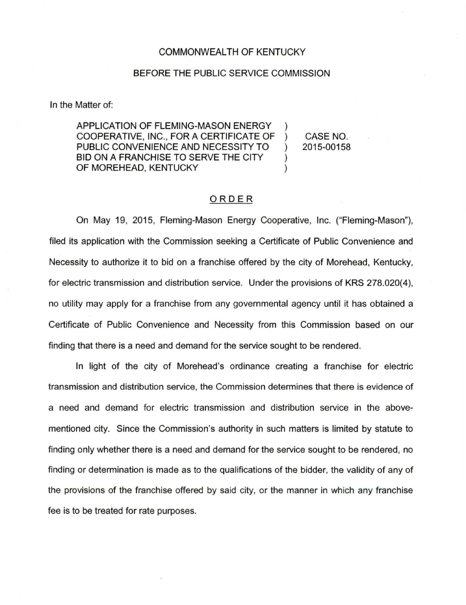## COMMONWEALTH OF KENTUCKY

## BEFORE THE PUBLIC SERVICE COMMISSION

In the Matter of:

APPLICATION OF FLEMING-MASON ENERGY ) COOPERATIVE, INC., FOR A CERTIFICATE OF ) PUBLIC CONVENIENCE AND NECESSITY TO ) BID ON A FRANCHISE TO SERVE THE CITY  $\qquad$  ) OF MOREHEAD, KENTUCKY (1999)

CASE NO. 2015-00158

## ORDER

On May 19, 2015, Fleming-Mason Energy Cooperative, Inc. ("Fleming-Mason"), filed its application with the Commission seeking a Certificate of Public Convenience and Necessity to authorize it to bid on a franchise offered by the city of Morehead, Kentucky, for electric transmission and distribution service. Under the provisions of KRS 278.020(4), no utility may apply for a franchise from any governmental agency until it has obtained a Certificate of Public Convenience and Necessity from this Commission based on our finding that there is a need and demand for the service sought to be rendered.

In light of the city of Morehead's ordinance creating a franchise for electric transmission and distribution service, the Commission determines that there is evidence of a need and demand for electric transmission and distribution service in the abovementioned city. Since the Commission's authority in such matters is limited by statute to finding only whether there is a need and demand for the service sought to be rendered, no finding or determination is made as to the qualifications of the bidder, the validity of any of the provisions of the franchise offered by said city, or the manner in which any franchise fee is to be treated for rate purposes.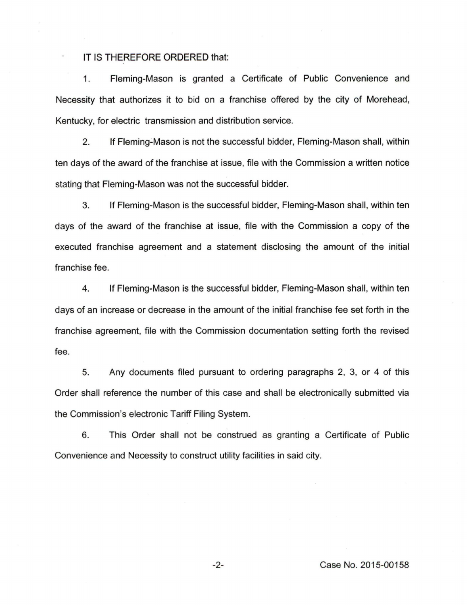## IT IS **THEREFORE ORDERED** that:

1. Fleming-Mason is granted a Certificate of Public Convenience and Necessity that authorizes it to bid on a franchise offered by the city of Morehead, Kentucky, for electric transmission and distribution service.

2. If Fleming-Mason is not the successful bidder, Fleming-Mason shall, within ten days of the award of the franchise at issue, file with the Commission a written notice stating that Fleming-Mason was not the successful bidder.

3. If Fleming-Mason is the successful bidder, Fleming-Mason shall, within ten days of the award of the franchise at issue, file with the Commission a copy of the executed franchise agreement and a statement disclosing the amount of the initial franchise fee.

4. If Fleming-Mason is the successful bidder, Fleming-Mason shall, within ten days of an increase or decrease in the amount of the initial franchise fee set forth in the franchise agreement, file with the Commission documentation setting forth the revised fee.

5. Any documents filed pursuant to ordering paragraphs 2, 3, or 4 of this Order shall reference the number of this case and shall be electronically submitted via the Commission's electronic Tariff Filing System.

6. This Order shall not be construed as granting a Certificate of Public Convenience and Necessity to construct utility facilities in said city.

-2- Case No. 2015-00158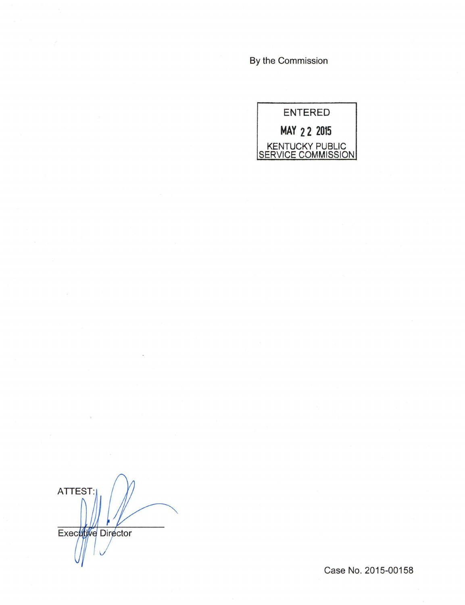By the Commission



ATTEST: Executive Director

Case No. 2015-00158